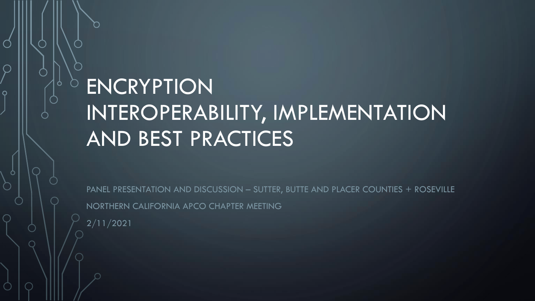# **ENCRYPTION** INTEROPERABILITY, IMPLEMENTATION AND BEST PRACTICES

PANEL PRESENTATION AND DISCUSSION - SUTTER, BUTTE AND PLACER COUNTIES + ROSEVILLE NORTHERN CALIFORNIA APCO CHAPTER MEETING 2/11/2021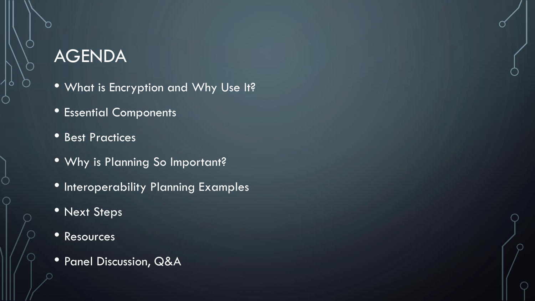#### AGENDA

- What is Encryption and Why Use It?
- Essential Components
- Best Practices
- Why is Planning So Important?
- Interoperability Planning Examples
- Next Steps
- Resources
- Panel Discussion, Q&A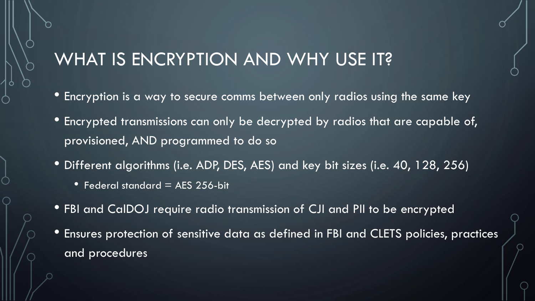#### WHAT IS ENCRYPTION AND WHY USE IT?

- Encryption is a way to secure comms between only radios using the same key
- Encrypted transmissions can only be decrypted by radios that are capable of, provisioned, AND programmed to do so
- Different algorithms (i.e. ADP, DES, AES) and key bit sizes (i.e. 40, 128, 256)
	- Federal standard  $=$  AES 256-bit
- FBI and CalDOJ require radio transmission of CJI and PII to be encrypted
- Ensures protection of sensitive data as defined in FBI and CLETS policies, practices and procedures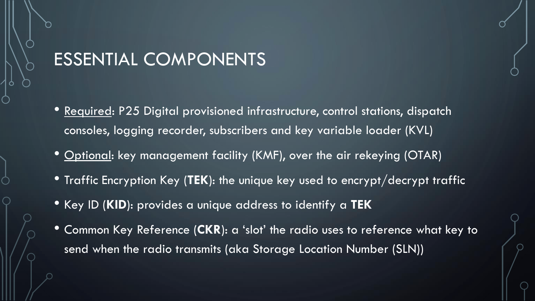#### ESSENTIAL COMPONENTS

- Required: P25 Digital provisioned infrastructure, control stations, dispatch consoles, logging recorder, subscribers and key variable loader (KVL)
- <u>Optional</u>: key management facility (KMF), over the air rekeying (OTAR)
- Traffic Encryption Key (**TEK**): the unique key used to encrypt/decrypt traffic
- Key ID (**KID**): provides a unique address to identify a **TEK**
- Common Key Reference (**CKR**): a 'slot' the radio uses to reference what key to send when the radio transmits (aka Storage Location Number (SLN))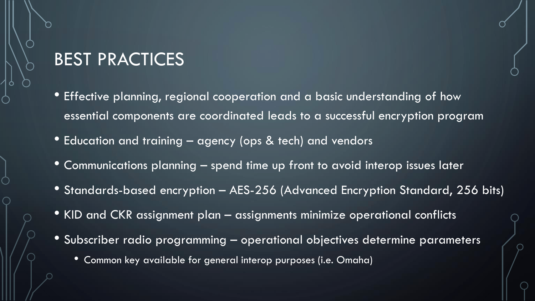#### BEST PRACTICES

- Effective planning, regional cooperation and a basic understanding of how essential components are coordinated leads to a successful encryption program
- Education and training agency (ops & tech) and vendors
- Communications planning spend time up front to avoid interop issues later
- Standards-based encryption AES-256 (Advanced Encryption Standard, 256 bits)
- KID and CKR assignment plan assignments minimize operational conflicts
- Subscriber radio programming operational objectives determine parameters
	- Common key available for general interop purposes (i.e. Omaha)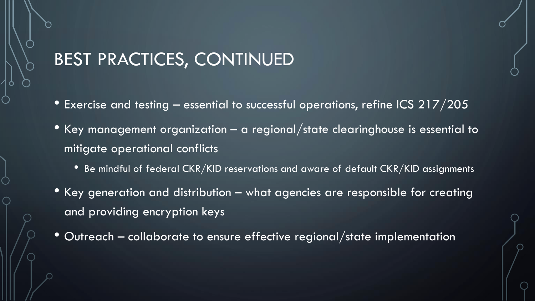#### BEST PRACTICES, CONTINUED

- Exercise and testing  $-$  essential to successful operations, refine ICS 217/205
- Key management organization a regional/state clearinghouse is essential to mitigate operational conflicts
	- Be mindful of federal CKR/KID reservations and aware of default CKR/KID assignments
- Key generation and distribution what agencies are responsible for creating and providing encryption keys
- Outreach collaborate to ensure effective regional/state implementation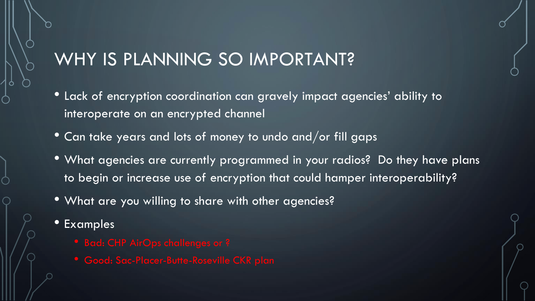## WHY IS PLANNING SO IMPORTANT?

- Lack of encryption coordination can gravely impact agencies' ability to interoperate on an encrypted channel
- Can take years and lots of money to undo and/or fill gaps
- What agencies are currently programmed in your radios? Do they have plans to begin or increase use of encryption that could hamper interoperability?
- What are you willing to share with other agencies?
- **Examples** 
	-
	-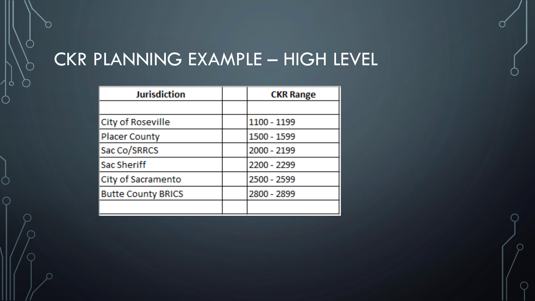# CKR PLANNING EXAMPLE – HIGH LEVEL

| <b>Jurisdiction</b>       | <b>CKR Range</b> |  |  |  |
|---------------------------|------------------|--|--|--|
|                           |                  |  |  |  |
| City of Roseville         | 1100 - 1199      |  |  |  |
| <b>Placer County</b>      | 1500 - 1599      |  |  |  |
| Sac Co/SRRCS              | 2000 - 2199      |  |  |  |
| Sac Sheriff               | 2200 - 2299      |  |  |  |
| City of Sacramento        | 2500 - 2599      |  |  |  |
| <b>Butte County BRICS</b> | 2800 - 2899      |  |  |  |
|                           |                  |  |  |  |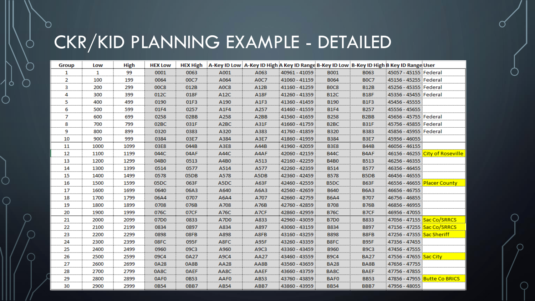# CKR/KID PLANNING EXAMPLE - DETAILED

| Group | Low          | High | <b>HEX Low</b>   |             |                   | HEX High   A-Key ID Low   A-Key ID High A Key ID Range B-Key ID Low   B-Key ID High B Key ID Range User |               |                   |                               |                            |                                 |
|-------|--------------|------|------------------|-------------|-------------------|---------------------------------------------------------------------------------------------------------|---------------|-------------------|-------------------------------|----------------------------|---------------------------------|
| 1.    | $\mathbf{1}$ | 99   | 0001             | 0063        | A001              | A063                                                                                                    | 40961 - 41059 | <b>B001</b>       | <b>B063</b>                   | 45057 - 45155 Federal      |                                 |
| 2     | 100          | 199  | 0064             | 00C7        | A064              | A0C7                                                                                                    | 41060 - 41159 | <b>B064</b>       | <b>BOC7</b>                   | 45156 - 45255 Federal      |                                 |
| з     | 200          | 299  | <b>00C8</b>      | 012B        | A0C8              | A12B                                                                                                    | 41160 - 41259 | <b>BOC8</b>       | <b>B12B</b>                   | 45256 - 45355 Federal      |                                 |
| 4     | 300          | 399  | 012C             | 018F        | A12C              | A18F                                                                                                    | 41260 - 41359 | <b>B12C</b>       | <b>B18F</b>                   | 45356 - 45455 Federal      |                                 |
| 5     | 400          | 499  | 0190             | 01F3        | A190              | A1F3                                                                                                    | 41360 - 41459 | <b>B190</b>       | <b>B1F3</b>                   | 45456 - 45555              |                                 |
| 6     | 500          | 599  | 01F4             | 0257        | A1F4              | A257                                                                                                    | 41460 - 41559 | <b>B1F4</b>       | <b>B257</b>                   | 45556 - 45655              |                                 |
| 7     | 600          | 699  | 0258             | 02BB        | A258              | A <sub>2</sub> BB                                                                                       | 41560 - 41659 | <b>B258</b>       | B <sub>2</sub> B <sub>B</sub> | 45656 - 45755 Federal      |                                 |
| 8     | 700          | 799  | 02BC             | 031F        | A <sub>2</sub> BC | A31F                                                                                                    | 41660 - 41759 | B <sub>2</sub> BC | <b>B31F</b>                   | 45756 - 45855 Federal      |                                 |
| 9     | 800          | 899  | 0320             | 0383        | A320              | A383                                                                                                    | 41760 - 41859 | <b>B320</b>       | <b>B383</b>                   | 45856 - 45955 Federal      |                                 |
| 10    | 900          | 999  | 0384             | 03E7        | A384              | A3E7                                                                                                    | 41860 - 41959 | <b>B384</b>       | <b>B3E7</b>                   | 45956 - 46055              |                                 |
| 11    | 1000         | 1099 | 03E8             | 044B        | A3E8              | A44B                                                                                                    | 41960 - 42059 | <b>B3E8</b>       | <b>B44B</b>                   | 46056 - 46155              |                                 |
| 12    | 1100         | 1199 | 044C             | 04AF        | A44C              | A4AF                                                                                                    | 42060 - 42159 | <b>B44C</b>       | B4AF                          |                            | 46156 - 46255 City of Roseville |
| 13    | 1200         | 1299 | 04B <sub>0</sub> | 0513        | A4B0              | A513                                                                                                    | 42160 - 42259 | <b>B4B0</b>       | <b>B513</b>                   | 46256 - 46355              |                                 |
| 14    | 1300         | 1399 | 0514             | 0577        | A514              | A577                                                                                                    | 42260 - 42359 | <b>B514</b>       | <b>B577</b>                   | 46356 - 46455              |                                 |
| 15    | 1400         | 1499 | 0578             | 05DB        | A578              | A5DB                                                                                                    | 42360 - 42459 | <b>B578</b>       | B5DB                          | 46456 - 46555              |                                 |
| 16    | 1500         | 1599 | 05DC             | 063F        | A5DC              | A63F                                                                                                    | 42460 - 42559 | B <sub>5</sub> DC | <b>B63F</b>                   |                            | 46556 - 46655 Placer County     |
| 17    | 1600         | 1699 | 0640             | 06A3        | A640              | A6A3                                                                                                    | 42560 - 42659 | <b>B640</b>       | <b>B6A3</b>                   | 46656 - 46755              |                                 |
| 18    | 1700         | 1799 | 06A4             | 0707        | A6A4              | A707                                                                                                    | 42660 - 42759 | <b>B6A4</b>       | <b>B707</b>                   | 46756 - 46855              |                                 |
| 19    | 1800         | 1899 | 0708             | 076B        | A708              | A76B                                                                                                    | 42760 - 42859 | <b>B708</b>       | <b>B76B</b>                   | 46856 - 46955              |                                 |
| 20    | 1900         | 1999 | 076C             | 07CF        | A76C              | A7CF                                                                                                    | 42860 - 42959 | <b>B76C</b>       | B7CF                          | 46956 - 47055              |                                 |
| 21    | 2000         | 2099 | 07D0             | 0833        | <b>A7D0</b>       | A833                                                                                                    | 42960 - 43059 | <b>B7D0</b>       | <b>B833</b>                   | 47056 - 47155 Sac Co/SRRCS |                                 |
| 22    | 2100         | 2199 | 0834             | 0897        | A834              | A897                                                                                                    | 43060 - 43159 | <b>B834</b>       | <b>B897</b>                   |                            | 47156 - 47255 Sac Co/SRRCS      |
| 23    | 2200         | 2299 | 0898             | 08FB        | A898              | A8FB                                                                                                    | 43160 - 43259 | <b>B898</b>       | B8FB                          | 47256 - 47355 Sac Sheriff  |                                 |
| 24    | 2300         | 2399 | 08FC             | 095F        | A8FC              | A95F                                                                                                    | 43260 - 43359 | B8FC              | <b>B95F</b>                   | 47356 - 47455              |                                 |
| 25    | 2400         | 2499 | 0960             | 09C3        | A960              | A9C3                                                                                                    | 43360 - 43459 | <b>B960</b>       | <b>B9C3</b>                   | 47456 - 47555              |                                 |
| 26    | 2500         | 2599 | 09C4             | 0A27        | A9C4              | <b>AA27</b>                                                                                             | 43460 - 43559 | <b>B9C4</b>       | <b>BA27</b>                   | 47556 - 47655 Sac City     |                                 |
| 27    | 2600         | 2699 | 0A28             | 0A8B        | <b>AA28</b>       | AA8B                                                                                                    | 43560 - 43659 | <b>BA28</b>       | BA8B                          | 47656 - 47755              |                                 |
| 28    | 2700         | 2799 | 0A8C             | <b>OAEF</b> | AA8C              | <b>AAEF</b>                                                                                             | 43660 - 43759 | BA8C              | <b>BAEF</b>                   | 47756 - 47855              |                                 |
| 29    | 2800         | 2899 | 0AF0             | 0B53        | AAF0              | AB53                                                                                                    | 43760 - 43859 | <b>BAFO</b>       | <b>BB53</b>                   |                            | 47856 - 47955 Butte Co BRICS    |
| 30    | 2900         | 2999 | 0B54             | 0BB7        | AB54              | ABB7                                                                                                    | 43860 - 43959 | <b>BB54</b>       | BBB7                          | 47956 - 48055              |                                 |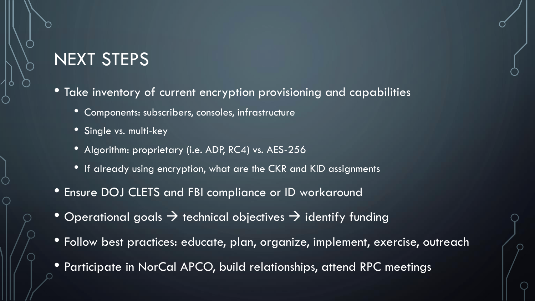## NEXT STEPS

• Take inventory of current encryption provisioning and capabilities

- Components: subscribers, consoles, infrastructure
- Single vs. multi-key
- Algorithm: proprietary (i.e. ADP, RC4) vs. AES-256
- If already using encryption, what are the CKR and KID assignments
- Ensure DOJ CLETS and FBI compliance or ID workaround
- Operational goals  $\rightarrow$  technical objectives  $\rightarrow$  identify funding
- Follow best practices: educate, plan, organize, implement, exercise, outreach
- Participate in NorCal APCO, build relationships, attend RPC meetings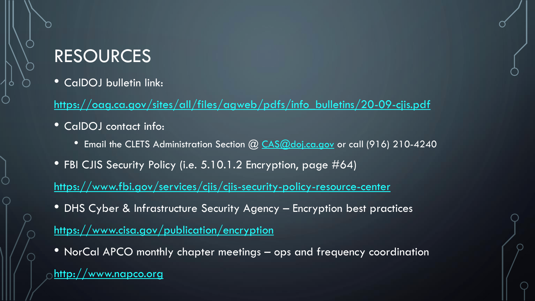## RESOURCES

• CalDOJ bulletin link:

[https://oag.ca.gov/sites/all/files/agweb/pdfs/info\\_bulletins/20-09-cjis.pdf](https://oag.ca.gov/sites/all/files/agweb/pdfs/info_bulletins/20-09-cjis.pdf)

- CalDOJ contact info:
	- Email the CLETS Administration Section @ [CAS@doj.ca.gov](mailto:CAS@doj.ca.gov) or call (916) 210-4240
- FBI CJIS Security Policy (i.e. 5.10.1.2 Encryption, page #64)

<https://www.fbi.gov/services/cjis/cjis-security-policy-resource-center>

- DHS Cyber & Infrastructure Security Agency Encryption best practices <https://www.cisa.gov/publication/encryption>
- NorCal APCO monthly chapter meetings ops and frequency coordination

[http://www.napco.org](http://www.napco.org/)